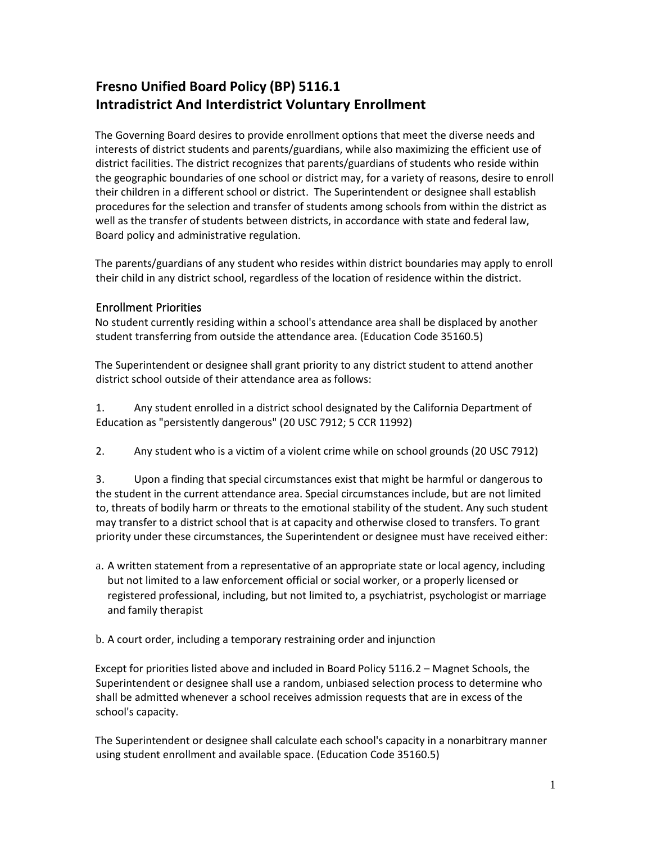# **Fresno Unified Board Policy (BP) 5116.1 Intradistrict And Interdistrict Voluntary Enrollment**

The Governing Board desires to provide enrollment options that meet the diverse needs and interests of district students and parents/guardians, while also maximizing the efficient use of district facilities. The district recognizes that parents/guardians of students who reside within the geographic boundaries of one school or district may, for a variety of reasons, desire to enroll their children in a different school or district. The Superintendent or designee shall establish procedures for the selection and transfer of students among schools from within the district as well as the transfer of students between districts, in accordance with state and federal law, Board policy and administrative regulation.

The parents/guardians of any student who resides within district boundaries may apply to enroll their child in any district school, regardless of the location of residence within the district.

## Enrollment Priorities

No student currently residing within a school's attendance area shall be displaced by another student transferring from outside the attendance area. (Education Code 35160.5)

The Superintendent or designee shall grant priority to any district student to attend another district school outside of their attendance area as follows:

1. Any student enrolled in a district school designated by the California Department of Education as "persistently dangerous" (20 USC 7912; 5 CCR 11992)

2. Any student who is a victim of a violent crime while on school grounds (20 USC 7912)

3. Upon a finding that special circumstances exist that might be harmful or dangerous to the student in the current attendance area. Special circumstances include, but are not limited to, threats of bodily harm or threats to the emotional stability of the student. Any such student may transfer to a district school that is at capacity and otherwise closed to transfers. To grant priority under these circumstances, the Superintendent or designee must have received either:

a. A written statement from a representative of an appropriate state or local agency, including but not limited to a law enforcement official or social worker, or a properly licensed or registered professional, including, but not limited to, a psychiatrist, psychologist or marriage and family therapist

b. A court order, including a temporary restraining order and injunction

Except for priorities listed above and included in Board Policy 5116.2 – Magnet Schools, the Superintendent or designee shall use a random, unbiased selection process to determine who shall be admitted whenever a school receives admission requests that are in excess of the school's capacity.

The Superintendent or designee shall calculate each school's capacity in a nonarbitrary manner using student enrollment and available space. (Education Code 35160.5)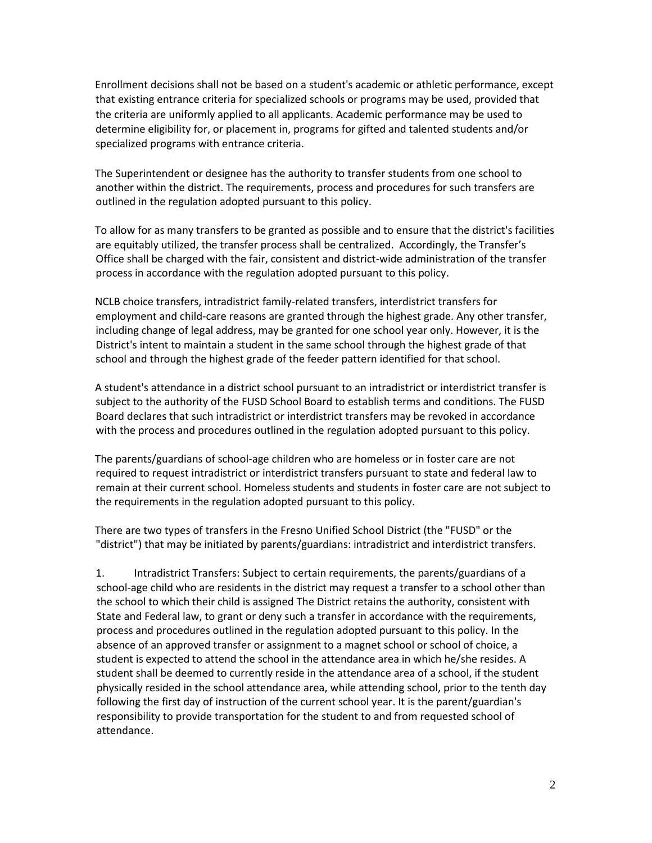Enrollment decisions shall not be based on a student's academic or athletic performance, except that existing entrance criteria for specialized schools or programs may be used, provided that the criteria are uniformly applied to all applicants. Academic performance may be used to determine eligibility for, or placement in, programs for gifted and talented students and/or specialized programs with entrance criteria.

The Superintendent or designee has the authority to transfer students from one school to another within the district. The requirements, process and procedures for such transfers are outlined in the regulation adopted pursuant to this policy.

To allow for as many transfers to be granted as possible and to ensure that the district's facilities are equitably utilized, the transfer process shall be centralized. Accordingly, the Transfer's Office shall be charged with the fair, consistent and district-wide administration of the transfer process in accordance with the regulation adopted pursuant to this policy.

NCLB choice transfers, intradistrict family-related transfers, interdistrict transfers for employment and child-care reasons are granted through the highest grade. Any other transfer, including change of legal address, may be granted for one school year only. However, it is the District's intent to maintain a student in the same school through the highest grade of that school and through the highest grade of the feeder pattern identified for that school.

A student's attendance in a district school pursuant to an intradistrict or interdistrict transfer is subject to the authority of the FUSD School Board to establish terms and conditions. The FUSD Board declares that such intradistrict or interdistrict transfers may be revoked in accordance with the process and procedures outlined in the regulation adopted pursuant to this policy.

The parents/guardians of school-age children who are homeless or in foster care are not required to request intradistrict or interdistrict transfers pursuant to state and federal law to remain at their current school. Homeless students and students in foster care are not subject to the requirements in the regulation adopted pursuant to this policy.

There are two types of transfers in the Fresno Unified School District (the "FUSD" or the "district") that may be initiated by parents/guardians: intradistrict and interdistrict transfers.

1. Intradistrict Transfers: Subject to certain requirements, the parents/guardians of a school-age child who are residents in the district may request a transfer to a school other than the school to which their child is assigned The District retains the authority, consistent with State and Federal law, to grant or deny such a transfer in accordance with the requirements, process and procedures outlined in the regulation adopted pursuant to this policy. In the absence of an approved transfer or assignment to a magnet school or school of choice, a student is expected to attend the school in the attendance area in which he/she resides. A student shall be deemed to currently reside in the attendance area of a school, if the student physically resided in the school attendance area, while attending school, prior to the tenth day following the first day of instruction of the current school year. It is the parent/guardian's responsibility to provide transportation for the student to and from requested school of attendance.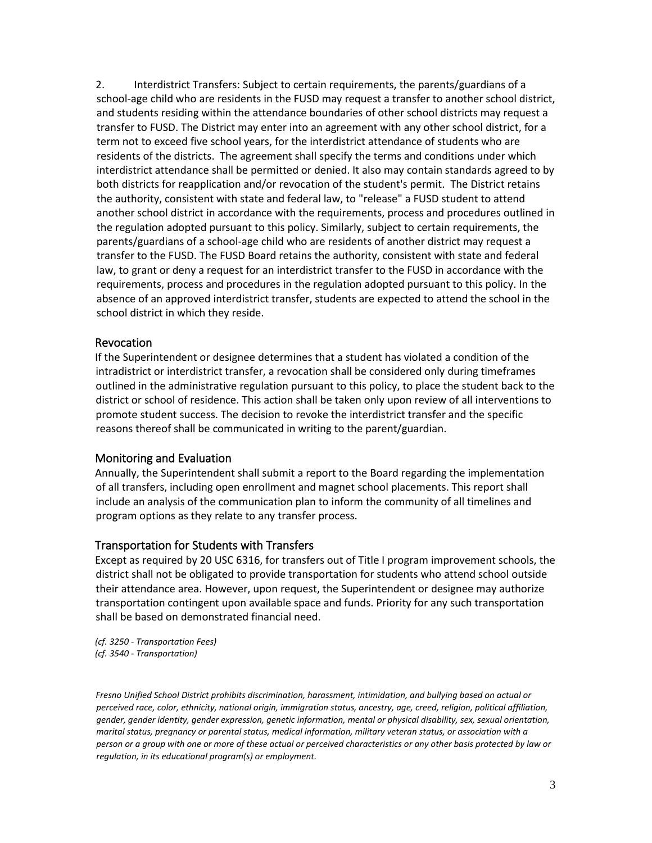2. Interdistrict Transfers: Subject to certain requirements, the parents/guardians of a school-age child who are residents in the FUSD may request a transfer to another school district, and students residing within the attendance boundaries of other school districts may request a transfer to FUSD. The District may enter into an agreement with any other school district, for a term not to exceed five school years, for the interdistrict attendance of students who are residents of the districts. The agreement shall specify the terms and conditions under which interdistrict attendance shall be permitted or denied. It also may contain standards agreed to by both districts for reapplication and/or revocation of the student's permit. The District retains the authority, consistent with state and federal law, to "release" a FUSD student to attend another school district in accordance with the requirements, process and procedures outlined in the regulation adopted pursuant to this policy. Similarly, subject to certain requirements, the parents/guardians of a school-age child who are residents of another district may request a transfer to the FUSD. The FUSD Board retains the authority, consistent with state and federal law, to grant or deny a request for an interdistrict transfer to the FUSD in accordance with the requirements, process and procedures in the regulation adopted pursuant to this policy. In the absence of an approved interdistrict transfer, students are expected to attend the school in the school district in which they reside.

#### Revocation

If the Superintendent or designee determines that a student has violated a condition of the intradistrict or interdistrict transfer, a revocation shall be considered only during timeframes outlined in the administrative regulation pursuant to this policy, to place the student back to the district or school of residence. This action shall be taken only upon review of all interventions to promote student success. The decision to revoke the interdistrict transfer and the specific reasons thereof shall be communicated in writing to the parent/guardian.

#### Monitoring and Evaluation

Annually, the Superintendent shall submit a report to the Board regarding the implementation of all transfers, including open enrollment and magnet school placements. This report shall include an analysis of the communication plan to inform the community of all timelines and program options as they relate to any transfer process.

### Transportation for Students with Transfers

Except as required by 20 USC 6316, for transfers out of Title I program improvement schools, the district shall not be obligated to provide transportation for students who attend school outside their attendance area. However, upon request, the Superintendent or designee may authorize transportation contingent upon available space and funds. Priority for any such transportation shall be based on demonstrated financial need.

*(cf. 3250 - Transportation Fees) (cf. 3540 - Transportation)* 

*Fresno Unified School District prohibits discrimination, harassment, intimidation, and bullying based on actual or perceived race, color, ethnicity, national origin, immigration status, ancestry, age, creed, religion, political affiliation, gender, gender identity, gender expression, genetic information, mental or physical disability, sex, sexual orientation, marital status, pregnancy or parental status, medical information, military veteran status, or association with a person or a group with one or more of these actual or perceived characteristics or any other basis protected by law or regulation, in its educational program(s) or employment.*